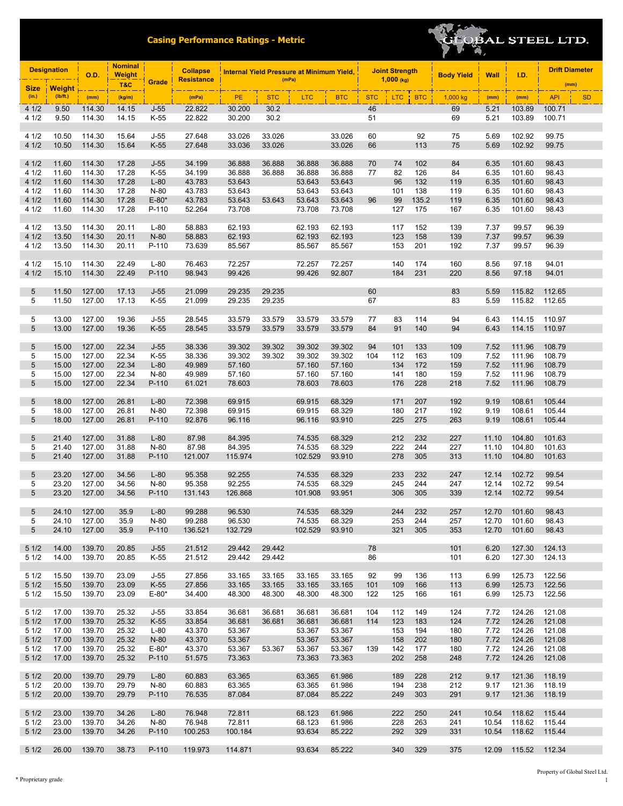

| <b>Designation</b> |                | <b>O.D.</b>      | <b>Nominal</b><br><b>Weight</b> |                   | <b>Collapse</b>   | <b>Internal Yield Pressure at Minimum Yield,</b> | <b>Joint Strength</b> |                  |                  | <b>Body Yield</b> | Wall         | I.D.       | <b>Drift Diameter</b> |                |                  |                  |           |
|--------------------|----------------|------------------|---------------------------------|-------------------|-------------------|--------------------------------------------------|-----------------------|------------------|------------------|-------------------|--------------|------------|-----------------------|----------------|------------------|------------------|-----------|
| <b>Size</b>        | <b>Weight</b>  |                  | T&C                             | Grade             | <b>Resistance</b> |                                                  | (mPa)                 |                  |                  |                   | $1,000$ (kg) |            |                       |                |                  | (mm)             |           |
| (in.)              | (Ib/ft.)       | (mm)             | (kg/m)                          |                   | (mPa)             | PE                                               | <b>STC</b>            | <b>LTC</b>       | <b>BTC</b>       | <b>STC</b>        | <b>LTC</b>   | <b>BTC</b> | 1,000 kg              | (mm)           | (mm)             | <b>API</b>       | <b>SD</b> |
| 41/2               | 9.50           | 114.30           | 14.15                           | $J-55$            | 22.822            | 30.200                                           | 30.2                  |                  |                  | 46                |              |            | 69                    | 5.21           | 103.89           | 100.71           |           |
| 4 1/2              | 9.50           | 114.30           | 14.15                           | K-55              | 22.822            | 30.200                                           | 30.2                  |                  |                  | 51                |              |            | 69                    | 5.21           | 103.89           | 100.71           |           |
| 4 1/2              | 10.50          | 114.30           | 15.64                           | $J-55$            | 27.648            | 33.026                                           | 33.026                |                  | 33.026           | 60                |              | 92         | 75                    | 5.69           | 102.92           | 99.75            |           |
| 41/2               | 10.50          | 114.30           | 15.64                           | $K-55$            | 27.648            | 33.036                                           | 33.026                |                  | 33.026           | 66                |              | 113        | 75                    | 5.69           | 102.92           | 99.75            |           |
|                    |                |                  |                                 |                   |                   |                                                  |                       |                  |                  |                   |              |            |                       |                |                  |                  |           |
| 41/2               | 11.60          | 114.30           | 17.28                           | $J-55$            | 34.199            | 36.888                                           | 36.888                | 36.888           | 36.888           | 70                | 74           | 102        | 84                    | 6.35           | 101.60           | 98.43            |           |
| 4 1/2<br>41/2      | 11.60<br>11.60 | 114.30<br>114.30 | 17.28<br>17.28                  | $K-55$<br>$L-80$  | 34.199<br>43.783  | 36.888<br>53.643                                 | 36.888                | 36.888<br>53.643 | 36.888<br>53.643 | 77                | 82<br>96     | 126<br>132 | 84<br>119             | 6.35<br>6.35   | 101.60<br>101.60 | 98.43<br>98.43   |           |
| 4 1/2              | 11.60          | 114.30           | 17.28                           | N-80              | 43.783            | 53.643                                           |                       | 53.643           | 53.643           |                   | 101          | 138        | 119                   | 6.35           | 101.60           | 98.43            |           |
| 41/2               | 11.60          | 114.30           | 17.28                           | $E-80*$           | 43.783            | 53.643                                           | 53.643                | 53.643           | 53.643           | 96                | 99           | 135.2      | 119                   | 6.35           | 101.60           | 98.43            |           |
| 4 1/2              | 11.60          | 114.30           | 17.28                           | P-110             | 52.264            | 73.708                                           |                       | 73.708           | 73.708           |                   | 127          | 175        | 167                   | 6.35           | 101.60           | 98.43            |           |
| 4 1/2              | 13.50          | 114.30           | 20.11                           | $L-80$            | 58.883            | 62.193                                           |                       | 62.193           | 62.193           |                   | 117          | 152        | 139                   | 7.37           | 99.57            | 96.39            |           |
| 41/2               | 13.50          | 114.30           | 20.11                           | $N-80$            | 58.883            | 62.193                                           |                       | 62.193           | 62.193           |                   | 123          | 158        | 139                   | 7.37           | 99.57            | 96.39            |           |
| 4 1/2              | 13.50          | 114.30           | 20.11                           | P-110             | 73.639            | 85.567                                           |                       | 85.567           | 85.567           |                   | 153          | 201        | 192                   | 7.37           | 99.57            | 96.39            |           |
| 4 1/2              | 15.10          | 114.30           | 22.49                           | $L-80$            | 76.463            | 72.257                                           |                       | 72.257           | 72.257           |                   | 140          | 174        | 160                   | 8.56           | 97.18            | 94.01            |           |
| 41/2               | 15.10          | 114.30           | 22.49                           | P-110             | 98.943            | 99.426                                           |                       | 99.426           | 92.807           |                   | 184          | 231        | 220                   | 8.56           | 97.18            | 94.01            |           |
|                    |                |                  |                                 |                   |                   |                                                  |                       |                  |                  |                   |              |            |                       |                |                  |                  |           |
| 5                  | 11.50          | 127.00           | 17.13                           | $J-55$            | 21.099            | 29.235                                           | 29.235                |                  |                  | 60                |              |            | 83                    | 5.59           | 115.82           | 112.65           |           |
| 5                  | 11.50          | 127.00           | 17.13                           | K-55              | 21.099            | 29.235                                           | 29.235                |                  |                  | 67                |              |            | 83                    | 5.59           | 115.82           | 112.65           |           |
| 5                  | 13.00          | 127.00           | 19.36                           | $J-55$            | 28.545            | 33.579                                           | 33.579                | 33.579           | 33.579           | 77                | 83           | 114        | 94                    | 6.43           | 114.15           | 110.97           |           |
| 5                  | 13.00          | 127.00           | 19.36                           | $K-55$            | 28.545            | 33.579                                           | 33.579                | 33.579           | 33.579           | 84                | 91           | 140        | 94                    | 6.43           | 114.15           | 110.97           |           |
| 5                  | 15.00          | 127.00           | 22.34                           | $J-55$            | 38.336            | 39.302                                           | 39.302                | 39.302           | 39.302           | 94                | 101          | 133        | 109                   | 7.52           | 111.96           | 108.79           |           |
| 5                  | 15.00          | 127.00           | 22.34                           | $K-55$            | 38.336            | 39.302                                           | 39.302                | 39.302           | 39.302           | 104               | 112          | 163        | 109                   | 7.52           | 111.96           | 108.79           |           |
| 5                  | 15.00          | 127.00           | 22.34                           | $L-80$            | 49.989            | 57.160                                           |                       | 57.160           | 57.160           |                   | 134          | 172        | 159                   | 7.52           | 111.96           | 108.79           |           |
| 5                  | 15.00          | 127.00           | 22.34                           | N-80              | 49.989            | 57.160                                           |                       | 57.160           | 57.160           |                   | 141          | 180        | 159                   | 7.52           | 111.96           | 108.79           |           |
| 5                  | 15.00          | 127.00           | 22.34                           | P-110             | 61.021            | 78.603                                           |                       | 78.603           | 78.603           |                   | 176          | 228        | 218                   | 7.52           | 111.96           | 108.79           |           |
| 5                  | 18.00          | 127.00           | 26.81                           | $L-80$            | 72.398            | 69.915                                           |                       | 69.915           | 68.329           |                   | 171          | 207        | 192                   | 9.19           | 108.61           | 105.44           |           |
| 5                  | 18.00          | 127.00           | 26.81                           | N-80              | 72.398            | 69.915                                           |                       | 69.915           | 68.329           |                   | 180          | 217        | 192                   | 9.19           | 108.61           | 105.44           |           |
| 5                  | 18.00          | 127.00           | 26.81                           | P-110             | 92.876            | 96.116                                           |                       | 96.116           | 93.910           |                   | 225          | 275        | 263                   | 9.19           | 108.61           | 105.44           |           |
| 5                  | 21.40          | 127.00           | 31.88                           | $L-80$            | 87.98             | 84.395                                           |                       | 74.535           | 68.329           |                   | 212          | 232        | 227                   | 11.10          | 104.80           | 101.63           |           |
| 5                  | 21.40          | 127.00           | 31.88                           | N-80              | 87.98             | 84.395                                           |                       | 74.535           | 68.329           |                   | 222          | 244        | 227                   | 11.10          | 104.80           | 101.63           |           |
| 5                  | 21.40          | 127.00           | 31.88                           | P-110             | 121.007           | 115.974                                          |                       | 102.529          | 93.910           |                   | 278          | 305        | 313                   | 11.10          | 104.80           | 101.63           |           |
| 5                  |                | 127.00           | 34.56                           | $L-80$            | 95.358            | 92.255                                           |                       | 74.535           | 68.329           |                   | 233          | 232        | 247                   | 12.14          | 102.72           | 99.54            |           |
| 5                  | 23.20<br>23.20 | 127.00           | 34.56                           | N-80              | 95.358            | 92.255                                           |                       | 74.535           | 68.329           |                   | 245          | 244        | 247                   | 12.14          | 102.72           | 99.54            |           |
| 5                  | 23.20          | 127.00           | 34.56                           | P-110             | 131.143           | 126.868                                          |                       | 101.908          | 93.951           |                   | 306          | 305        | 339                   | 12.14          | 102.72           | 99.54            |           |
|                    |                |                  |                                 |                   |                   |                                                  |                       |                  |                  |                   |              |            |                       |                |                  |                  |           |
| 5<br>5             | 24.10<br>24.10 | 127.00<br>127.00 | 35.9<br>35.9                    | $L-80$<br>N-80    | 99.288<br>99.288  | 96.530<br>96.530                                 |                       | 74.535<br>74.535 | 68.329<br>68.329 |                   | 244<br>253   | 232<br>244 | 257<br>257            | 12.70<br>12.70 | 101.60<br>101.60 | 98.43<br>98.43   |           |
| 5                  | 24.10          | 127.00           | 35.9                            | P-110             | 136.521           | 132.729                                          |                       | 102.529          | 93.910           |                   | 321          | 305        | 353                   | 12.70          | 101.60           | 98.43            |           |
|                    |                |                  |                                 |                   |                   |                                                  |                       |                  |                  |                   |              |            |                       |                |                  |                  |           |
| 51/2<br>51/2       | 14.00          | 139.70<br>139.70 | 20.85                           | $J-55$            | 21.512            | 29.442                                           | 29.442                |                  |                  | 78<br>86          |              |            | 101                   | 6.20<br>6.20   | 127.30<br>127.30 | 124.13           |           |
|                    | 14.00          |                  | 20.85                           | K-55              | 21.512            | 29.442                                           | 29.442                |                  |                  |                   |              |            | 101                   |                |                  | 124.13           |           |
| 51/2               | 15.50          | 139.70           | 23.09                           | J-55              | 27.856            | 33.165                                           | 33.165                | 33.165           | 33.165           | 92                | 99           | 136        | 113                   | 6.99           | 125.73           | 122.56           |           |
| 51/2               | 15.50          | 139.70           | 23.09                           | $K-55$            | 27.856            | 33.165                                           | 33.165                | 33.165           | 33.165           | 101               | 109          | 166        | 113                   | 6.99           | 125.73           | 122.56           |           |
| 51/2               | 15.50          | 139.70           | 23.09                           | $E-80*$           | 34.400            | 48.300                                           | 48.300                | 48.300           | 48.300           | 122               | 125          | 166        | 161                   | 6.99           | 125.73           | 122.56           |           |
| 51/2               | 17.00          | 139.70           | 25.32                           | J-55              | 33.854            | 36.681                                           | 36.681                | 36.681           | 36.681           | 104               | 112          | 149        | 124                   | 7.72           | 124.26           | 121.08           |           |
| 51/2               | 17.00          | 139.70           | 25.32                           | $K-55$            | 33.854            | 36.681                                           | 36.681                | 36.681           | 36.681           | 114               | 123          | 183        | 124                   | 7.72           | 124.26           | 121.08           |           |
| 51/2               | 17.00          | 139.70           | 25.32                           | L-80              | 43.370            | 53.367                                           |                       | 53.367           | 53.367           |                   | 153          | 194        | 180                   | 7.72           | 124.26           | 121.08           |           |
| 51/2<br>51/2       | 17.00<br>17.00 | 139.70<br>139.70 | 25.32<br>25.32                  | $N-80$<br>$E-80*$ | 43.370<br>43.370  | 53.367<br>53.367                                 | 53.367                | 53.367<br>53.367 | 53.367<br>53.367 | 139               | 158<br>142   | 202<br>177 | 180<br>180            | 7.72<br>7.72   | 124.26<br>124.26 | 121.08<br>121.08 |           |
| 51/2               | 17.00          | 139.70           | 25.32                           | P-110             | 51.575            | 73.363                                           |                       | 73.363           | 73.363           |                   | 202          | 258        | 248                   | 7.72           | 124.26           | 121.08           |           |
|                    |                |                  |                                 |                   |                   |                                                  |                       |                  |                  |                   |              |            |                       |                |                  |                  |           |
| 51/2<br>51/2       | 20.00<br>20.00 | 139.70<br>139.70 | 29.79<br>29.79                  | $L-80$<br>N-80    | 60.883<br>60.883  | 63.365<br>63.365                                 |                       | 63.365<br>63.365 | 61.986<br>61.986 |                   | 189<br>194   | 228<br>238 | 212<br>212            | 9.17<br>9.17   | 121.36<br>121.36 | 118.19<br>118.19 |           |
| 51/2               | 20.00          | 139.70           | 29.79                           | P-110             | 76.535            | 87.084                                           |                       | 87.084           | 85.222           |                   | 249          | 303        | 291                   | 9.17           | 121.36           | 118.19           |           |
|                    |                |                  |                                 |                   |                   |                                                  |                       |                  |                  |                   |              |            |                       |                |                  |                  |           |
| 51/2               | 23.00          | 139.70           | 34.26                           | $L-80$            | 76.948            | 72.811                                           |                       | 68.123           | 61.986           |                   | 222          | 250        | 241                   | 10.54          | 118.62           | 115.44           |           |
| 51/2<br>51/2       | 23.00<br>23.00 | 139.70<br>139.70 | 34.26<br>34.26                  | N-80<br>P-110     | 76.948<br>100.253 | 72.811<br>100.184                                |                       | 68.123<br>93.634 | 61.986<br>85.222 |                   | 228<br>292   | 263<br>329 | 241<br>331            | 10.54<br>10.54 | 118.62<br>118.62 | 115.44<br>115.44 |           |
|                    |                |                  |                                 |                   |                   |                                                  |                       |                  |                  |                   |              |            |                       |                |                  |                  |           |
| 51/2               | 26.00          | 139.70           | 38.73                           | P-110             | 119.973           | 114.871                                          |                       | 93.634           | 85.222           |                   | 340          | 329        | 375                   | 12.09          | 115.52           | 112.34           |           |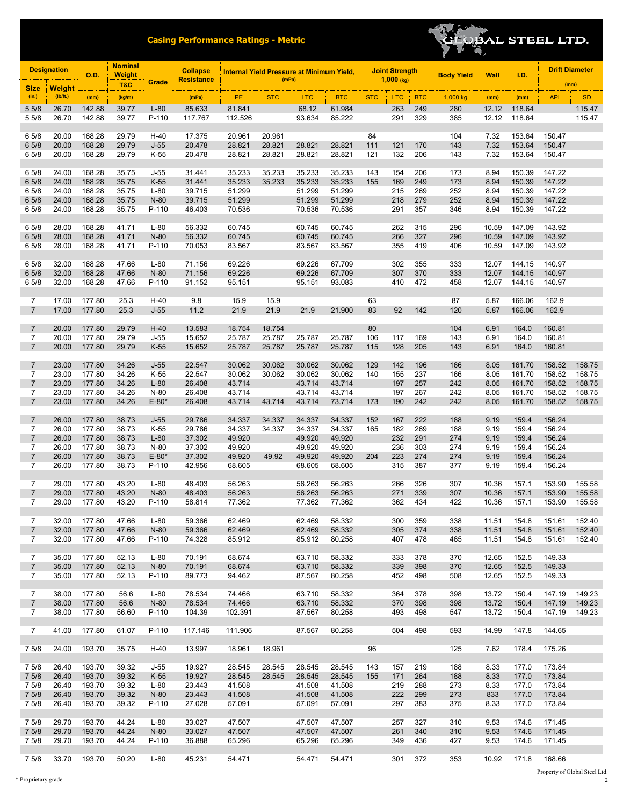

|                                  | <b>Nominal</b><br><b>Designation</b><br><b>Weight</b><br><b>O.D.</b> |                  |                | <b>Collapse</b>  |                   | Internal Yield Pressure at Minimum Yield, |                  |                  |                  | <b>Joint Strength</b> |              | <b>Body Yield</b> | <b>Wall</b> | I.D.           | <b>Drift Diameter</b> |                  |                  |
|----------------------------------|----------------------------------------------------------------------|------------------|----------------|------------------|-------------------|-------------------------------------------|------------------|------------------|------------------|-----------------------|--------------|-------------------|-------------|----------------|-----------------------|------------------|------------------|
| <b>Size</b>                      | <b>Weight</b>                                                        |                  | T&C            | Grade            | <b>Resistance</b> |                                           | (mPa)            |                  |                  |                       | $1,000$ (kg) |                   |             |                |                       | (mm)             |                  |
| (in.)                            | (Ib/ft.)                                                             | (mm)             | (kg/m)         |                  | (mPa)             | PE                                        | <b>STC</b>       | <b>LTC</b>       | <b>BTC</b>       | <b>STC</b>            | <b>LTC</b>   | <b>BTC</b>        | 1,000 kg    | (mm)           | (mm)                  | <b>API</b>       | <b>SD</b>        |
| 5 5/8                            | 26.70                                                                | 142.88           | 39.77          | $L-80$           | 85.633            | 81.841                                    |                  | 68.12            | 61.984           |                       | 263          | 249               | 280         | 12.12          | 118.64                |                  | 115.47           |
| 5 5/8                            | 26.70                                                                | 142.88           | 39.77          | P-110            | 117.767           | 112.526                                   |                  | 93.634           | 85.222           |                       | 291          | 329               | 385         | 12.12          | 118.64                |                  | 115.47           |
| 6 5/8                            | 20.00                                                                | 168.28           | 29.79          | $H-40$           | 17.375            | 20.961                                    | 20.961           |                  |                  | 84                    |              |                   | 104         | 7.32           | 153.64                | 150.47           |                  |
| 6 5/8                            | 20.00                                                                | 168.28           | 29.79          | $J-55$           | 20.478            | 28.821                                    | 28.821           | 28.821           | 28.821           | 111                   | 121          | 170               | 143         | 7.32           | 153.64                | 150.47           |                  |
| 6 5/8                            | 20.00                                                                | 168.28           | 29.79          | K-55             | 20.478            | 28.821                                    | 28.821           | 28.821           | 28.821           | 121                   | 132          | 206               | 143         | 7.32           | 153.64                | 150.47           |                  |
|                                  |                                                                      |                  |                |                  |                   |                                           |                  |                  |                  |                       |              |                   |             |                |                       |                  |                  |
| 6 5/8<br>6 5/8                   | 24.00<br>24.00                                                       | 168.28<br>168.28 | 35.75<br>35.75 | $J-55$<br>$K-55$ | 31.441<br>31.441  | 35.233<br>35.233                          | 35.233<br>35.233 | 35.233<br>35.233 | 35.233<br>35.233 | 143<br>155            | 154<br>169   | 206<br>249        | 173<br>173  | 8.94<br>8.94   | 150.39<br>150.39      | 147.22<br>147.22 |                  |
| 6 5/8                            | 24.00                                                                | 168.28           | 35.75          | $L-80$           | 39.715            | 51.299                                    |                  | 51.299           | 51.299           |                       | 215          | 269               | 252         | 8.94           | 150.39                | 147.22           |                  |
| 6 5/8                            | 24.00                                                                | 168.28           | 35.75          | $N-80$           | 39.715            | 51.299                                    |                  | 51.299           | 51.299           |                       | 218          | 279               | 252         | 8.94           | 150.39                | 147.22           |                  |
| 6 5/8                            | 24.00                                                                | 168.28           | 35.75          | P-110            | 46.403            | 70.536                                    |                  | 70.536           | 70.536           |                       | 291          | 357               | 346         | 8.94           | 150.39                | 147.22           |                  |
| 6 5/8                            | 28.00                                                                | 168.28           | 41.71          | $L-80$           | 56.332            | 60.745                                    |                  | 60.745           | 60.745           |                       | 262          | 315               | 296         | 10.59          | 147.09                | 143.92           |                  |
| 6 5/8                            | 28.00                                                                | 168.28           | 41.71          | $N-80$           | 56.332            | 60.745                                    |                  | 60.745           | 60.745           |                       | 266          | 327               | 296         | 10.59          | 147.09                | 143.92           |                  |
| 6 5/8                            | 28.00                                                                | 168.28           | 41.71          | P-110            | 70.053            | 83.567                                    |                  | 83.567           | 83.567           |                       | 355          | 419               | 406         | 10.59          | 147.09                | 143.92           |                  |
|                                  |                                                                      |                  |                |                  |                   |                                           |                  |                  |                  |                       |              |                   |             |                |                       |                  |                  |
| 6 5/8<br>6 5/8                   | 32.00<br>32.00                                                       | 168.28<br>168.28 | 47.66<br>47.66 | $L-80$<br>$N-80$ | 71.156<br>71.156  | 69.226<br>69.226                          |                  | 69.226<br>69.226 | 67.709<br>67.709 |                       | 302<br>307   | 355<br>370        | 333<br>333  | 12.07<br>12.07 | 144.15<br>144.15      | 140.97<br>140.97 |                  |
| 6 5/8                            | 32.00                                                                | 168.28           | 47.66          | P-110            | 91.152            | 95.151                                    |                  | 95.151           | 93.083           |                       | 410          | 472               | 458         | 12.07          | 144.15                | 140.97           |                  |
|                                  |                                                                      |                  |                |                  |                   |                                           |                  |                  |                  |                       |              |                   |             |                |                       |                  |                  |
| $\overline{7}$                   | 17.00                                                                | 177.80           | 25.3           | $H-40$           | 9.8               | 15.9                                      | 15.9             |                  |                  | 63                    |              |                   | 87          | 5.87           | 166.06                | 162.9            |                  |
| $\overline{7}$                   | 17.00                                                                | 177.80           | 25.3           | $J-55$           | 11.2              | 21.9                                      | 21.9             | 21.9             | 21.900           | 83                    | 92           | 142               | 120         | 5.87           | 166.06                | 162.9            |                  |
| $\overline{7}$                   | 20.00                                                                | 177.80           | 29.79          | $H-40$           | 13.583            | 18.754                                    | 18.754           |                  |                  | 80                    |              |                   | 104         | 6.91           | 164.0                 | 160.81           |                  |
| $\overline{7}$                   | 20.00                                                                | 177.80           | 29.79          | $J-55$           | 15.652            | 25.787                                    | 25.787           | 25.787           | 25.787           | 106                   | 117          | 169               | 143         | 6.91           | 164.0                 | 160.81           |                  |
| $\overline{7}$                   | 20.00                                                                | 177.80           | 29.79          | $K-55$           | 15.652            | 25.787                                    | 25.787           | 25.787           | 25.787           | 115                   | 128          | 205               | 143         | 6.91           | 164.0                 | 160.81           |                  |
|                                  |                                                                      |                  |                |                  |                   |                                           |                  |                  |                  |                       |              |                   |             |                |                       |                  |                  |
| $\overline{7}$<br>$\overline{7}$ | 23.00<br>23.00                                                       | 177.80<br>177.80 | 34.26<br>34.26 | $J-55$<br>K-55   | 22.547<br>22.547  | 30.062<br>30.062                          | 30.062<br>30.062 | 30.062<br>30.062 | 30.062<br>30.062 | 129<br>140            | 142<br>155   | 196<br>237        | 166<br>166  | 8.05<br>8.05   | 161.70<br>161.70      | 158.52<br>158.52 | 158.75<br>158.75 |
| $\overline{7}$                   | 23.00                                                                | 177.80           | 34.26          | $L-80$           | 26.408            | 43.714                                    |                  | 43.714           | 43.714           |                       | 197          | 257               | 242         | 8.05           | 161.70                | 158.52           | 158.75           |
| $\overline{7}$                   | 23.00                                                                | 177.80           | 34.26          | N-80             | 26.408            | 43.714                                    |                  | 43.714           | 43.714           |                       | 197          | 267               | 242         | 8.05           | 161.70                | 158.52           | 158.75           |
| $\overline{7}$                   | 23.00                                                                | 177.80           | 34.26          | $E-80*$          | 26.408            | 43.714                                    | 43.714           | 43.714           | 73.714           | 173                   | 190          | 242               | 242         | 8.05           | 161.70                | 158.52           | 158.75           |
| $\overline{7}$                   | 26.00                                                                | 177.80           | 38.73          | $J-55$           | 29.786            | 34.337                                    | 34.337           | 34.337           | 34.337           | 152                   | 167          | 222               | 188         | 9.19           | 159.4                 | 156.24           |                  |
| $\overline{7}$                   | 26.00                                                                | 177.80           | 38.73          | K-55             | 29.786            | 34.337                                    | 34.337           | 34.337           | 34.337           | 165                   | 182          | 269               | 188         | 9.19           | 159.4                 | 156.24           |                  |
| $\overline{7}$                   | 26.00                                                                | 177.80           | 38.73          | $L-80$           | 37.302            | 49.920                                    |                  | 49.920           | 49.920           |                       | 232          | 291               | 274         | 9.19           | 159.4                 | 156.24           |                  |
| 7                                | 26.00                                                                | 177.80           | 38.73          | N-80             | 37.302            | 49.920                                    |                  | 49.920           | 49.920           |                       | 236          | 303               | 274         | 9.19           | 159.4                 | 156.24           |                  |
| $\overline{7}$<br>$\overline{7}$ | 26.00<br>26.00                                                       | 177.80<br>177.80 | 38.73<br>38.73 | $E-80*$<br>P-110 | 37.302<br>42.956  | 49.920<br>68.605                          | 49.92            | 49.920<br>68.605 | 49.920<br>68.605 | 204                   | 223<br>315   | 274<br>387        | 274<br>377  | 9.19<br>9.19   | 159.4<br>159.4        | 156.24<br>156.24 |                  |
|                                  |                                                                      |                  |                |                  |                   |                                           |                  |                  |                  |                       |              |                   |             |                |                       |                  |                  |
| $\overline{7}$                   | 29.00                                                                | 177.80           | 43.20          | $L-80$           | 48.403            | 56.263                                    |                  | 56.263           | 56.263           |                       | 266          | 326               | 307         | 10.36          | 157.1                 | 153.90           | 155.58           |
| $\overline{7}$                   | 29.00                                                                | 177.80           | 43.20          | N-80             | 48.403            | 56.263                                    |                  | 56.263           | 56.263           |                       | 271          | 339               | 307         | 10.36          | 157.1                 | 153.90           | 155.58           |
| $\overline{7}$                   | 29.00                                                                | 177.80           | 43.20          | P-110            | 58.814            | 77.362                                    |                  | 77.362           | 77.362           |                       | 362          | 434               | 422         | 10.36          | 157.1                 | 153.90           | 155.58           |
| $\overline{7}$                   | 32.00                                                                | 177.80           | 47.66          | $L-80$           | 59.366            | 62.469                                    |                  | 62.469           | 58.332           |                       | 300          | 359               | 338         | 11.51          | 154.8                 | 151.61           | 152.40           |
| $\overline{7}$                   | 32.00                                                                | 177.80           | 47.66          | N-80             | 59.366            | 62.469                                    |                  | 62.469           | 58.332           |                       | 305          | 374               | 338         | 11.51          | 154.8                 | 151.61           | 152.40           |
| $\overline{7}$                   | 32.00                                                                | 177.80           | 47.66          | P-110            | 74.328            | 85.912                                    |                  | 85.912           | 80.258           |                       | 407          | 478               | 465         | 11.51          | 154.8                 | 151.61           | 152.40           |
| $\overline{7}$                   | 35.00                                                                | 177.80           | 52.13          | $L-80$           | 70.191            | 68.674                                    |                  | 63.710           | 58.332           |                       | 333          | 378               | 370         | 12.65          | 152.5                 | 149.33           |                  |
| $\overline{7}$                   | 35.00                                                                | 177.80           | 52.13          | N-80             | 70.191            | 68.674                                    |                  | 63.710           | 58.332           |                       | 339          | 398               | 370         | 12.65          | 152.5                 | 149.33           |                  |
| $\overline{7}$                   | 35.00                                                                | 177.80           | 52.13          | P-110            | 89.773            | 94.462                                    |                  | 87.567           | 80.258           |                       | 452          | 498               | 508         | 12.65          | 152.5                 | 149.33           |                  |
|                                  |                                                                      |                  |                |                  |                   |                                           |                  |                  |                  |                       |              |                   |             |                |                       |                  |                  |
| $\overline{7}$<br>$\overline{7}$ | 38.00<br>38.00                                                       | 177.80<br>177.80 | 56.6<br>56.6   | $L-80$<br>$N-80$ | 78.534<br>78.534  | 74.466<br>74.466                          |                  | 63.710<br>63.710 | 58.332<br>58.332 |                       | 364<br>370   | 378<br>398        | 398<br>398  | 13.72<br>13.72 | 150.4<br>150.4        | 147.19<br>147.19 | 149.23<br>149.23 |
| $\overline{7}$                   | 38.00                                                                | 177.80           | 56.60          | P-110            | 104.39            | 102.391                                   |                  | 87.567           | 80.258           |                       | 493          | 498               | 547         | 13.72          | 150.4                 | 147.19           | 149.23           |
|                                  |                                                                      |                  |                |                  |                   |                                           |                  |                  |                  |                       |              |                   |             |                |                       |                  |                  |
| $\overline{7}$                   | 41.00                                                                | 177.80           | 61.07          | P-110            | 117.146           | 111.906                                   |                  | 87.567           | 80.258           |                       | 504          | 498               | 593         | 14.99          | 147.8                 | 144.65           |                  |
|                                  |                                                                      | 193.70           |                |                  |                   |                                           |                  |                  |                  | 96                    |              |                   |             |                |                       |                  |                  |
| 7 5/8                            | 24.00                                                                |                  | 35.75          | $H-40$           | 13.997            | 18.961                                    | 18.961           |                  |                  |                       |              |                   | 125         | 7.62           | 178.4                 | 175.26           |                  |
| 7 5/8                            | 26.40                                                                | 193.70           | 39.32          | $J-55$           | 19.927            | 28.545                                    | 28.545           | 28.545           | 28.545           | 143                   | 157          | 219               | 188         | 8.33           | 177.0                 | 173.84           |                  |
| 7 5/8                            | 26.40                                                                | 193.70           | 39.32          | $K-55$           | 19.927            | 28.545                                    | 28.545           | 28.545           | 28.545           | 155                   | 171          | 264               | 188         | 8.33           | 177.0                 | 173.84           |                  |
| 7 5/8                            | 26.40                                                                | 193.70           | 39.32          | $L-80$           | 23.443            | 41.508                                    |                  | 41.508           | 41.508           |                       | 219          | 288               | 273         | 8.33           | 177.0                 | 173.84           |                  |
| 7 5/8<br>7 5/8                   | 26.40<br>26.40                                                       | 193.70<br>193.70 | 39.32<br>39.32 | N-80<br>P-110    | 23.443<br>27.028  | 41.508<br>57.091                          |                  | 41.508<br>57.091 | 41.508<br>57.091 |                       | 222<br>297   | 299<br>383        | 273<br>375  | 833<br>8.33    | 177.0<br>177.0        | 173.84<br>173.84 |                  |
|                                  |                                                                      |                  |                |                  |                   |                                           |                  |                  |                  |                       |              |                   |             |                |                       |                  |                  |
| 7 5/8                            | 29.70                                                                | 193.70           | 44.24          | $L-80$           | 33.027            | 47.507                                    |                  | 47.507           | 47.507           |                       | 257          | 327               | 310         | 9.53           | 174.6                 | 171.45           |                  |
| 7 5/8                            | 29.70                                                                | 193.70           | 44.24          | N-80             | 33.027            | 47.507                                    |                  | 47.507           | 47.507           |                       | 261          | 340               | 310         | 9.53           | 174.6                 | 171.45           |                  |
| 7 5/8                            | 29.70                                                                | 193.70           | 44.24          | P-110            | 36.888            | 65.296                                    |                  | 65.296           | 65.296           |                       | 349          | 436               | 427         | 9.53           | 174.6                 | 171.45           |                  |
| 7 5/8                            | 33.70                                                                | 193.70           | 50.20          | $L-80$           | 45.231            | 54.471                                    |                  | 54.471           | 54.471           |                       | 301          | 372               | 353         | 10.92          | 171.8                 | 168.66           |                  |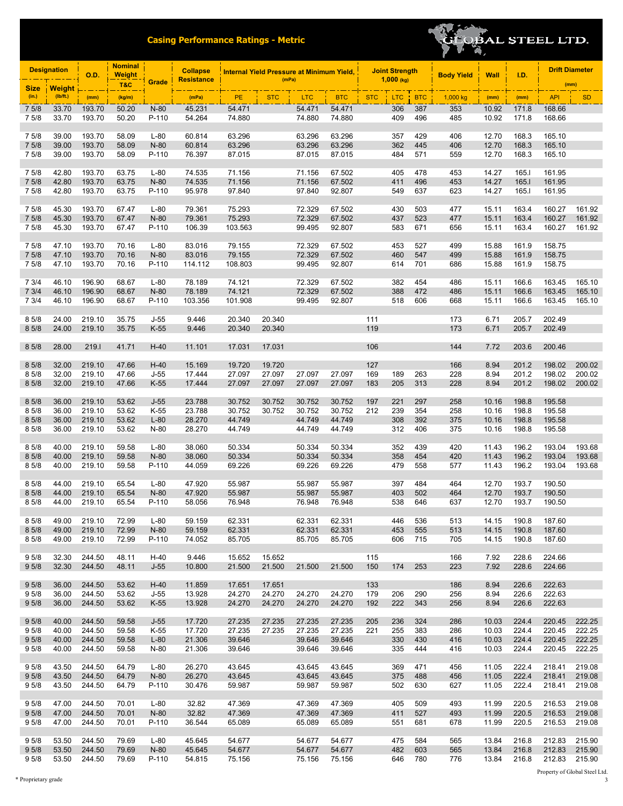

| <b>Designation</b><br><b>O.D.</b> |                | <b>Nominal</b><br><b>Weight</b> |                | <b>Collapse</b>  | <b>Internal Yield Pressure at Minimum Yield,</b> |                  | <b>Joint Strength</b><br>$1,000$ (kg) |                  | <b>Body Yield</b> | <b>Wall</b> | I.D.       | <b>Drift Diameter</b> |            |                |                |                  |                  |
|-----------------------------------|----------------|---------------------------------|----------------|------------------|--------------------------------------------------|------------------|---------------------------------------|------------------|-------------------|-------------|------------|-----------------------|------------|----------------|----------------|------------------|------------------|
| <b>Size</b>                       | <b>Weight</b>  |                                 | <b>T&amp;C</b> | Grade            | <b>Resistance</b>                                |                  | (mPa)                                 |                  |                   |             |            |                       |            |                |                | (mm)             |                  |
| (in.)                             | (Ib/ft.)       | (mm)                            | (kg/m)         |                  | (mPa)                                            | PE               | <b>STC</b>                            | <b>LTC</b>       | <b>BTC</b>        | <b>STC</b>  | <b>LTC</b> | <b>BTC</b>            | 1,000 kg   | (mm)           | (mm)           | <b>API</b>       | <b>SD</b>        |
| 7 5/8                             | 33.70          | 193.70                          | 50.20          | N-80             | 45.231                                           | 54.471           |                                       | 54.471           | 54.471            |             | 306        | 387                   | 353        | 10.92          | 171.8          | 168.66           |                  |
| 7 5/8                             | 33.70          | 193.70                          | 50.20          | P-110            | 54.264                                           | 74.880           |                                       | 74.880           | 74.880            |             | 409        | 496                   | 485        | 10.92          | 171.8          | 168.66           |                  |
| 7 5/8                             | 39.00          | 193.70                          | 58.09          | $L-80$           | 60.814                                           | 63.296           |                                       | 63.296           | 63.296            |             | 357        | 429                   | 406        | 12.70          | 168.3          | 165.10           |                  |
| 7 5/8                             | 39.00          | 193.70                          | 58.09          | N-80             | 60.814                                           | 63.296           |                                       | 63.296           | 63.296            |             | 362        | 445                   | 406        | 12.70          | 168.3          | 165.10           |                  |
| 7 5/8                             | 39.00          | 193.70                          | 58.09          | P-110            | 76.397                                           | 87.015           |                                       | 87.015           | 87.015            |             | 484        | 571                   | 559        | 12.70          | 168.3          | 165.10           |                  |
|                                   |                |                                 |                |                  |                                                  |                  |                                       |                  |                   |             |            |                       |            |                |                |                  |                  |
| 7 5/8                             | 42.80          | 193.70                          | 63.75          | $L-80$           | 74.535                                           | 71.156           |                                       | 71.156           | 67.502            |             | 405        | 478                   | 453        | 14.27          | 165.1          | 161.95           |                  |
| 7 5/8<br>7 5/8                    | 42.80<br>42.80 | 193.70<br>193.70                | 63.75<br>63.75 | N-80<br>P-110    | 74.535<br>95.978                                 | 71.156<br>97.840 |                                       | 71.156<br>97.840 | 67.502<br>92.807  |             | 411<br>549 | 496<br>637            | 453<br>623 | 14.27<br>14.27 | 165.I<br>165.1 | 161.95<br>161.95 |                  |
|                                   |                |                                 |                |                  |                                                  |                  |                                       |                  |                   |             |            |                       |            |                |                |                  |                  |
| 7 5/8                             | 45.30          | 193.70                          | 67.47          | $L-80$           | 79.361                                           | 75.293           |                                       | 72.329           | 67.502            |             | 430        | 503                   | 477        | 15.11          | 163.4          | 160.27           | 161.92           |
| 7 5/8                             | 45.30          | 193.70                          | 67.47          | $N-80$           | 79.361                                           | 75.293           |                                       | 72.329           | 67.502            |             | 437        | 523                   | 477        | 15.11          | 163.4          | 160.27           | 161.92           |
| 7 5/8                             | 45.30          | 193.70                          | 67.47          | P-110            | 106.39                                           | 103.563          |                                       | 99.495           | 92.807            |             | 583        | 671                   | 656        | 15.11          | 163.4          | 160.27           | 161.92           |
| 7 5/8                             | 47.10          | 193.70                          | 70.16          | $L-80$           | 83.016                                           | 79.155           |                                       | 72.329           | 67.502            |             | 453        | 527                   | 499        | 15.88          | 161.9          | 158.75           |                  |
| 7 5/8                             | 47.10          | 193.70                          | 70.16          | $N-80$           | 83.016                                           | 79.155           |                                       | 72.329           | 67.502            |             | 460        | 547                   | 499        | 15.88          | 161.9          | 158.75           |                  |
| 7 5/8                             | 47.10          | 193.70                          | 70.16          | P-110            | 114.112                                          | 108.803          |                                       | 99.495           | 92.807            |             | 614        | 701                   | 686        | 15.88          | 161.9          | 158.75           |                  |
|                                   |                |                                 |                |                  |                                                  |                  |                                       |                  |                   |             |            |                       |            |                |                |                  |                  |
| 7 3/4<br>73/4                     | 46.10<br>46.10 | 196.90<br>196.90                | 68.67<br>68.67 | $L-80$<br>$N-80$ | 78.189<br>78.189                                 | 74.121<br>74.121 |                                       | 72.329<br>72.329 | 67.502<br>67.502  |             | 382<br>388 | 454<br>472            | 486<br>486 | 15.11<br>15.11 | 166.6<br>166.6 | 163.45<br>163.45 | 165.10<br>165.10 |
| 7 3/4                             | 46.10          | 196.90                          | 68.67          | P-110            | 103.356                                          | 101.908          |                                       | 99.495           | 92.807            |             | 518        | 606                   | 668        | 15.11          | 166.6          | 163.45           | 165.10           |
|                                   |                |                                 |                |                  |                                                  |                  |                                       |                  |                   |             |            |                       |            |                |                |                  |                  |
| 8 5/8                             | 24.00          | 219.10                          | 35.75          | $J-55$           | 9.446                                            | 20.340           | 20.340                                |                  |                   | 111         |            |                       | 173        | 6.71           | 205.7          | 202.49           |                  |
| 8 5/8                             | 24.00          | 219.10                          | 35.75          | $K-55$           | 9.446                                            | 20.340           | 20.340                                |                  |                   | 119         |            |                       | 173        | 6.71           | 205.7          | 202.49           |                  |
| 8 5/8                             | 28.00          | 219.1                           | 41.71          | $H-40$           | 11.101                                           | 17.031           | 17.031                                |                  |                   | 106         |            |                       | 144        | 7.72           | 203.6          | 200.46           |                  |
|                                   |                |                                 |                |                  |                                                  |                  |                                       |                  |                   |             |            |                       |            |                |                |                  |                  |
| 8 5/8                             | 32.00          | 219.10                          | 47.66          | $H-40$           | 15.169                                           | 19.720           | 19.720                                |                  |                   | 127         |            |                       | 166        | 8.94           | 201.2          | 198.02           | 200.02           |
| 8 5/8                             | 32.00          | 219.10                          | 47.66          | $J-55$           | 17.444                                           | 27.097           | 27.097                                | 27.097           | 27.097            | 169         | 189        | 263                   | 228        | 8.94           | 201.2          | 198.02           | 200.02           |
| 8 5/8                             | 32.00          | 219.10                          | 47.66          | $K-55$           | 17.444                                           | 27.097           | 27.097                                | 27.097           | 27.097            | 183         | 205        | 313                   | 228        | 8.94           | 201.2          | 198.02           | 200.02           |
| 8 5/8                             | 36.00          | 219.10                          | 53.62          | $J-55$           | 23.788                                           | 30.752           | 30.752                                | 30.752           | 30.752            | 197         | 221        | 297                   | 258        | 10.16          | 198.8          | 195.58           |                  |
| 8 5/8                             | 36.00          | 219.10                          | 53.62          | K-55             | 23.788                                           | 30.752           | 30.752                                | 30.752           | 30.752            | 212         | 239        | 354                   | 258        | 10.16          | 198.8          | 195.58           |                  |
| 8 5/8                             | 36.00          | 219.10                          | 53.62          | $L-80$           | 28.270                                           | 44.749           |                                       | 44.749           | 44.749            |             | 308        | 392                   | 375        | 10.16          | 198.8          | 195.58           |                  |
| 8 5/8                             | 36.00          | 219.10                          | 53.62          | N-80             | 28.270                                           | 44.749           |                                       | 44.749           | 44.749            |             | 312        | 406                   | 375        | 10.16          | 198.8          | 195.58           |                  |
| 8 5/8                             | 40.00          | 219.10                          | 59.58          | $L-80$           | 38.060                                           | 50.334           |                                       | 50.334           | 50.334            |             | 352        | 439                   | 420        | 11.43          | 196.2          | 193.04           | 193.68           |
| 8 5/8                             | 40.00          | 219.10                          | 59.58          | $N-80$           | 38.060                                           | 50.334           |                                       | 50.334           | 50.334            |             | 358        | 454                   | 420        | 11.43          | 196.2          | 193.04           | 193.68           |
| 8 5/8                             | 40.00          | 219.10                          | 59.58          | P-110            | 44.059                                           | 69.226           |                                       | 69.226           | 69.226            |             | 479        | 558                   | 577        | 11.43          | 196.2          | 193.04           | 193.68           |
|                                   |                |                                 |                |                  |                                                  |                  |                                       |                  |                   |             |            |                       |            |                |                |                  |                  |
| 8 5/8                             | 44.00          | 219.10                          | 65.54          | $L-80$           | 47.920                                           | 55.987           |                                       | 55.987           | 55.987            |             | 397        | 484                   | 464        | 12.70          | 193.7          | 190.50           |                  |
| 8 5/8<br>8 5/8                    | 44.00<br>44.00 | 219.10<br>219.10                | 65.54<br>65.54 | $N-80$<br>P-110  | 47.920<br>58.056                                 | 55.987<br>76.948 |                                       | 55.987<br>76.948 | 55.987<br>76.948  |             | 403<br>538 | 502<br>646            | 464<br>637 | 12.70<br>12.70 | 193.7<br>193.7 | 190.50<br>190.50 |                  |
|                                   |                |                                 |                |                  |                                                  |                  |                                       |                  |                   |             |            |                       |            |                |                |                  |                  |
| 8 5/8                             | 49.00          | 219.10                          | 72.99          | $L-80$           | 59.159                                           | 62.331           |                                       | 62.331           | 62.331            |             | 446        | 536                   | 513        | 14.15          | 190.8          | 187.60           |                  |
| 8 5/8                             | 49.00          | 219.10                          | 72.99          | N-80             | 59.159                                           | 62.331           |                                       | 62.331           | 62.331            |             | 453        | 555                   | 513        | 14.15          | 190.8          | 187.60           |                  |
| 8 5/8                             | 49.00          | 219.10                          | 72.99          | P-110            | 74.052                                           | 85.705           |                                       | 85.705           | 85.705            |             | 606        | 715                   | 705        | 14.15          | 190.8          | 187.60           |                  |
| 9 5/8                             | 32.30          | 244.50                          | 48.11          | $H-40$           | 9.446                                            | 15.652           | 15.652                                |                  |                   | 115         |            |                       | 166        | 7.92           | 228.6          | 224.66           |                  |
| 95/8                              | 32.30          | 244.50                          | 48.11          | $J-55$           | 10.800                                           | 21.500           | 21.500                                | 21.500           | 21.500            | 150         | 174        | 253                   | 223        | 7.92           | 228.6          | 224.66           |                  |
|                                   |                |                                 |                |                  |                                                  |                  |                                       |                  |                   |             |            |                       |            |                |                |                  |                  |
| 95/8                              | 36.00          | 244.50                          | 53.62          | $H-40$           | 11.859                                           | 17.651           | 17.651                                |                  |                   | 133         |            |                       | 186        | 8.94           | 226.6          | 222.63           |                  |
| 9 5/8<br>95/8                     | 36.00<br>36.00 | 244.50<br>244.50                | 53.62<br>53.62 | $J-55$<br>$K-55$ | 13.928<br>13.928                                 | 24.270<br>24.270 | 24.270<br>24.270                      | 24.270<br>24.270 | 24.270<br>24.270  | 179<br>192  | 206<br>222 | 290<br>343            | 256<br>256 | 8.94<br>8.94   | 226.6<br>226.6 | 222.63<br>222.63 |                  |
|                                   |                |                                 |                |                  |                                                  |                  |                                       |                  |                   |             |            |                       |            |                |                |                  |                  |
| 95/8                              | 40.00          | 244.50                          | 59.58          | $J-55$           | 17.720                                           | 27.235           | 27.235                                | 27.235           | 27.235            | 205         | 236        | 324                   | 286        | 10.03          | 224.4          | 220.45           | 222.25           |
| 9 5/8                             | 40.00          | 244.50                          | 59.58          | K-55             | 17.720                                           | 27.235           | 27.235                                | 27.235           | 27.235            | 221         | 255        | 383                   | 286        | 10.03          | 224.4          | 220.45           | 222.25           |
| 95/8<br>9 5/8                     | 40.00          | 244.50<br>244.50                | 59.58          | $L-80$           | 21.306<br>21.306                                 | 39.646           |                                       | 39.646           | 39.646<br>39.646  |             | 330<br>335 | 430<br>444            | 416        | 10.03          | 224.4<br>224.4 | 220.45<br>220.45 | 222.25<br>222.25 |
|                                   | 40.00          |                                 | 59.58          | N-80             |                                                  | 39.646           |                                       | 39.646           |                   |             |            |                       | 416        | 10.03          |                |                  |                  |
| 95/8                              | 43.50          | 244.50                          | 64.79          | $L-80$           | 26.270                                           | 43.645           |                                       | 43.645           | 43.645            |             | 369        | 471                   | 456        | 11.05          | 222.4          | 218.41           | 219.08           |
| 95/8                              | 43.50          | 244.50                          | 64.79          | N-80             | 26.270                                           | 43.645           |                                       | 43.645           | 43.645            |             | 375        | 488                   | 456        | 11.05          | 222.4          | 218.41           | 219.08           |
| 9 5/8                             | 43.50          | 244.50                          | 64.79          | P-110            | 30.476                                           | 59.987           |                                       | 59.987           | 59.987            |             | 502        | 630                   | 627        | 11.05          | 222.4          | 218.41           | 219.08           |
| 95/8                              | 47.00          | 244.50                          | 70.01          | $L-80$           | 32.82                                            | 47.369           |                                       | 47.369           | 47.369            |             | 405        | 509                   | 493        | 11.99          | 220.5          | 216.53           | 219.08           |
| 95/8                              | 47.00          | 244.50                          | 70.01          | N-80             | 32.82                                            | 47.369           |                                       | 47.369           | 47.369            |             | 411        | 527                   | 493        | 11.99          | 220.5          | 216.53           | 219.08           |
| 9 5/8                             | 47.00          | 244.50                          | 70.01          | P-110            | 36.544                                           | 65.089           |                                       | 65.089           | 65.089            |             | 551        | 681                   | 678        | 11.99          | 220.5          | 216.53           | 219.08           |
|                                   |                |                                 |                |                  |                                                  |                  |                                       |                  |                   |             |            |                       |            |                |                |                  |                  |
| 9 5/8                             | 53.50          | 244.50                          | 79.69          | $L-80$           | 45.645                                           | 54.677           |                                       | 54.677           | 54.677            |             | 475        | 584                   | 565        | 13.84          | 216.8          | 212.83           | 215.90           |
| 95/8<br>9 5/8                     | 53.50<br>53.50 | 244.50<br>244.50                | 79.69<br>79.69 | N-80<br>P-110    | 45.645<br>54.815                                 | 54.677<br>75.156 |                                       | 54.677<br>75.156 | 54.677<br>75.156  |             | 482<br>646 | 603<br>780            | 565<br>776 | 13.84<br>13.84 | 216.8<br>216.8 | 212.83<br>212.83 | 215.90<br>215.90 |
|                                   |                |                                 |                |                  |                                                  |                  |                                       |                  |                   |             |            |                       |            |                |                |                  |                  |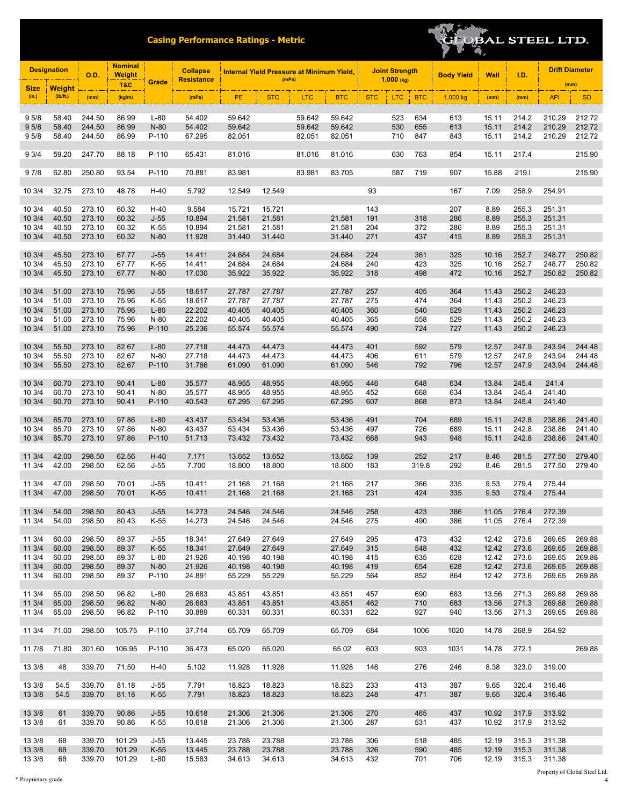

|                  | <b>Designation</b>        | <b>Nominal</b><br><b>Weight</b><br><b>O.D.</b> |                |                | <b>Collapse</b>   |                  | <b>Internal Yield Pressure at Minimum Yield,</b> |            |                  |            | <b>Joint Strength</b> |            | <b>Body Yield</b> | Wall           | I.D.           |                  | <b>Drift Diameter</b> |  |
|------------------|---------------------------|------------------------------------------------|----------------|----------------|-------------------|------------------|--------------------------------------------------|------------|------------------|------------|-----------------------|------------|-------------------|----------------|----------------|------------------|-----------------------|--|
| <b>Size</b>      |                           |                                                | <b>T&amp;C</b> | Grade          | <b>Resistance</b> |                  | (mPa)                                            |            |                  |            | $1,000$ (kg)          |            |                   |                |                | (mm)             |                       |  |
| (in.)            | <b>Weight</b><br>(Ib/ft.) | (mm)                                           | (kg/m)         |                | (mPa)             | PE               | <b>STC</b>                                       | <b>LTC</b> | <b>BTC</b>       | <b>STC</b> | <b>LTC</b>            | <b>BTC</b> | 1,000 kg          | (mm)           | (mm)           | <b>API</b>       | <b>SD</b>             |  |
|                  |                           |                                                |                |                |                   |                  |                                                  |            |                  |            |                       |            |                   |                |                |                  |                       |  |
| 9 5/8            | 58.40                     | 244.50                                         | 86.99          | $L-80$         | 54.402            | 59.642           |                                                  | 59.642     | 59.642           |            | 523                   | 634        | 613               | 15.11          | 214.2          | 210.29           | 212.72                |  |
| 95/8             | 58.40                     | 244.50                                         | 86.99          | N-80           | 54.402            | 59.642           |                                                  | 59.642     | 59.642           |            | 530                   | 655        | 613               | 15.11          | 214.2          | 210.29           | 212.72                |  |
| 9 5/8            | 58.40                     | 244.50                                         | 86.99          | P-110          | 67.295            | 82.051           |                                                  | 82.051     | 82.051           |            | 710                   | 847        | 843               | 15.11          | 214.2          | 210.29           | 212.72                |  |
|                  |                           |                                                |                |                |                   |                  |                                                  |            |                  |            |                       |            |                   |                |                |                  |                       |  |
| 9 3/4            | 59.20                     | 247.70                                         | 88.18          | P-110          | 65.431            | 81.016           |                                                  | 81.016     | 81.016           |            | 630                   | 763        | 854               | 15.11          | 217.4          |                  | 215.90                |  |
| 97/8             | 62.80                     | 250.80                                         | 93.54          | P-110          | 70.881            | 83.981           |                                                  | 83.981     | 83.705           |            | 587                   | 719        | 907               | 15.88          | 219.1          |                  | 215.90                |  |
|                  |                           |                                                |                |                |                   |                  |                                                  |            |                  |            |                       |            |                   |                |                |                  |                       |  |
| 10 3/4           | 32.75                     | 273.10                                         | 48.78          | $H-40$         | 5.792             | 12.549           | 12.549                                           |            |                  | 93         |                       |            | 167               | 7.09           | 258.9          | 254.91           |                       |  |
|                  |                           |                                                |                |                |                   |                  |                                                  |            |                  |            |                       |            |                   |                |                |                  |                       |  |
| 10 3/4           | 40.50                     | 273.10                                         | 60.32          | $H-40$         | 9.584             | 15.721           | 15.721                                           |            |                  | 143        |                       |            | 207               | 8.89           | 255.3          | 251.31           |                       |  |
| 103/4            | 40.50                     | 273.10                                         | 60.32          | $J-55$         | 10.894            | 21.581           | 21.581                                           |            | 21.581           | 191        |                       | 318        | 286               | 8.89           | 255.3          | 251.31           |                       |  |
| 10 3/4           | 40.50                     | 273.10                                         | 60.32          | $K-55$         | 10.894            | 21.581           | 21.581                                           |            | 21.581           | 204        |                       | 372        | 286               | 8.89           | 255.3          | 251.31           |                       |  |
| 10 3/4           | 40.50                     | 273.10                                         | 60.32          | $N-80$         | 11.928            | 31.440           | 31.440                                           |            | 31.440           | 271        |                       | 437        | 415               | 8.89           | 255.3          | 251.31           |                       |  |
| 10 3/4           | 45.50                     | 273.10                                         | 67.77          | $J-55$         | 14.411            | 24.684           | 24.684                                           |            | 24.684           | 224        |                       | 361        | 325               | 10.16          | 252.7          | 248.77           | 250.82                |  |
| 10 3/4           | 45.50                     | 273.10                                         | 67.77          | $K-55$         | 14.411            | 24.684           | 24.684                                           |            | 24.684           | 240        |                       | 423        | 325               | 10.16          | 252.7          | 248.77           | 250.82                |  |
| 10 3/4           | 45.50                     | 273.10                                         | 67.77          | $N-80$         | 17.030            | 35.922           | 35.922                                           |            | 35.922           | 318        |                       | 498        | 472               | 10.16          | 252.7          | 250.82           | 250.82                |  |
|                  |                           |                                                |                |                |                   |                  |                                                  |            |                  |            |                       |            |                   |                |                |                  |                       |  |
| 10 3/4           | 51.00                     | 273.10                                         | 75.96          | $J-55$         | 18.617            | 27.787           | 27.787                                           |            | 27.787           | 257        |                       | 405        | 364               | 11.43          | 250.2          | 246.23           |                       |  |
| 10 3/4           | 51.00                     | 273.10                                         | 75.96          | $K-55$         | 18.617            | 27.787           | 27.787                                           |            | 27.787           | 275        |                       | 474        | 364               | 11.43          | 250.2          | 246.23           |                       |  |
| 103/4            | 51.00                     | 273.10                                         | 75.96          | $L-80$         | 22.202            | 40.405           | 40.405                                           |            | 40.405           | 360        |                       | 540        | 529               | 11.43          | 250.2          | 246.23           |                       |  |
| 10 3/4           | 51.00                     | 273.10                                         | 75.96          | N-80           | 22.202            | 40.405           | 40.405                                           |            | 40.405           | 365        |                       | 558        | 529               | 11.43          | 250.2          | 246.23           |                       |  |
| 10 3/4           | 51.00                     | 273.10                                         | 75.96          | P-110          | 25.236            | 55.574           | 55.574                                           |            | 55.574           | 490        |                       | 724        | 727               | 11.43          | 250.2          | 246.23           |                       |  |
| 10 3/4           | 55.50                     | 273.10                                         | 82.67          | $L-80$         | 27.718            | 44.473           | 44.473                                           |            | 44.473           | 401        |                       | 592        | 579               | 12.57          | 247.9          | 243.94           | 244.48                |  |
| 10 3/4           | 55.50                     | 273.10                                         | 82.67          | N-80           | 27.718            | 44.473           | 44.473                                           |            | 44.473           | 406        |                       | 611        | 579               | 12.57          | 247.9          | 243.94           | 244.48                |  |
| 10 3/4           | 55.50                     | 273.10                                         | 82.67          | P-110          | 31.786            | 61.090           | 61.090                                           |            | 61.090           | 546        |                       | 792        | 796               | 12.57          | 247.9          | 243.94           | 244.48                |  |
|                  |                           |                                                |                |                |                   |                  |                                                  |            |                  |            |                       |            |                   |                |                |                  |                       |  |
| 10 3/4           | 60.70                     | 273.10                                         | 90.41          | $L-80$         | 35.577            | 48.955           | 48.955                                           |            | 48.955           | 446        |                       | 648        | 634               | 13.84          | 245.4          | 241.4            |                       |  |
| 10 3/4           | 60.70                     | 273.10                                         | 90.41          | N-80           | 35.577            | 48.955           | 48.955                                           |            | 48.955           | 452        |                       | 668        | 634               | 13.84          | 245.4          | 241.40           |                       |  |
| 10 3/4           | 60.70                     | 273.10                                         | 90.41          | P-110          | 40.543            | 67.295           | 67.295                                           |            | 67.295           | 607        |                       | 868        | 873               | 13.84          | 245.4          | 241.40           |                       |  |
|                  |                           |                                                |                |                |                   |                  |                                                  |            |                  |            |                       |            |                   |                |                |                  |                       |  |
| 10 3/4           | 65.70                     | 273.10                                         | 97.86          | $L-80$         | 43.437            | 53.434           | 53.436                                           |            | 53.436           | 491        |                       | 704        | 689               | 15.11          | 242.8          | 238.86           | 241.40                |  |
| 10 3/4           | 65.70                     | 273.10                                         | 97.86          | N-80           | 43.437            | 53.434           | 53.436                                           |            | 53.436           | 497        |                       | 726        | 689               | 15.11          | 242.8          | 238.86           | 241.40                |  |
| 10 3/4           | 65.70                     | 273.10                                         | 97.86          | P-110          | 51.713            | 73.432           | 73.432                                           |            | 73.432           | 668        |                       | 943        | 948               | 15.11          | 242.8          | 238.86           | 241.40                |  |
| 11 3/4           | 42.00                     | 298.50                                         | 62.56          | $H-40$         | 7.171             | 13.652           | 13.652                                           |            | 13.652           | 139        |                       | 252        | 217               | 8.46           | 281.5          | 277.50           | 279.40                |  |
| 11 3/4           | 42.00                     | 298.50                                         | 62.56          | $J-55$         | 7.700             | 18.800           | 18.800                                           |            | 18.800           | 183        |                       | 319.8      | 292               | 8.46           | 281.5          | 277.50           | 279.40                |  |
|                  |                           |                                                |                |                |                   |                  |                                                  |            |                  |            |                       |            |                   |                |                |                  |                       |  |
| 11 3/4           | 47.00                     | 298.50                                         | 70.01          | $J-55$         | 10.411            | 21.168           | 21.168                                           |            | 21.168           | 217        |                       | 366        | 335               | 9.53           | 279.4          | 275.44           |                       |  |
| 11 3/4           | 47.00                     | 298.50                                         | 70.01          | $K-55$         | 10.411            | 21.168           | 21.168                                           |            | 21.168           | 231        |                       | 424        | 335               | 9.53           | 279.4          | 275.44           |                       |  |
|                  |                           |                                                |                |                |                   |                  |                                                  |            |                  |            |                       |            |                   |                |                |                  |                       |  |
| 11 3/4<br>11 3/4 | 54.00<br>54.00            | 298.50<br>298.50                               | 80.43<br>80.43 | $J-55$<br>K-55 | 14.273<br>14.273  | 24.546<br>24.546 | 24.546<br>24.546                                 |            | 24.546<br>24.546 | 258<br>275 |                       | 423<br>490 | 386<br>386        | 11.05<br>11.05 | 276.4<br>276.4 | 272.39<br>272.39 |                       |  |
|                  |                           |                                                |                |                |                   |                  |                                                  |            |                  |            |                       |            |                   |                |                |                  |                       |  |
| 11 3/4           | 60.00                     | 298.50                                         | 89.37          | $J-55$         | 18.341            | 27.649           | 27.649                                           |            | 27.649           | 295        |                       | 473        | 432               | 12.42          | 273.6          | 269.65           | 269.88                |  |
| 113/4            | 60.00                     | 298.50                                         | 89.37          | $K-55$         | 18.341            | 27.649           | 27.649                                           |            | 27.649           | 315        |                       | 548        | 432               | 12.42          | 273.6          | 269.65           | 269.88                |  |
| 11 3/4           | 60.00                     | 298.50                                         | 89.37          | L-80           | 21.926            | 40.198           | 40.198                                           |            | 40.198           | 415        |                       | 635        | 628               | 12.42          | 273.6          | 269.65           | 269.88                |  |
| 113/4            | 60.00                     | 298.50                                         | 89.37          | $N-80$         | 21.926            | 40.198           | 40.198                                           |            | 40.198           | 419        |                       | 654        | 628               | 12.42          | 273.6          | 269.65           | 269.88                |  |
| 11 3/4           | 60.00                     | 298.50                                         | 89.37          | P-110          | 24.891            | 55.229           | 55.229                                           |            | 55.229           | 564        |                       | 852        | 864               | 12.42          | 273.6          | 269.65           | 269.88                |  |
|                  |                           |                                                |                |                |                   |                  |                                                  |            |                  |            |                       |            |                   |                |                |                  |                       |  |
| 11 3/4           | 65.00                     | 298.50                                         | 96.82          | L-80           | 26.683            | 43.851           | 43.851                                           |            | 43.851           | 457        |                       | 690        | 683               | 13.56          | 271.3          | 269.88           | 269.88                |  |
| 113/4            | 65.00                     | 298.50                                         | 96.82          | N-80           | 26.683            | 43.851           | 43.851                                           |            | 43.851           | 462        |                       | 710        | 683               | 13.56          | 271.3          | 269.88           | 269.88                |  |
| 11 3/4           | 65.00                     | 298.50                                         | 96.82          | P-110          | 30.889            | 60.331           | 60.331                                           |            | 60.331           | 622        |                       | 927        | 940               | 13.56          | 271.3          | 269.65           | 269.88                |  |
|                  | 11 3/4 71.00              | 298.50                                         | 105.75         | P-110          | 37.714            | 65.709           | 65.709                                           |            | 65.709           | 684        |                       | 1006       | 1020              | 14.78          | 268.9          | 264.92           |                       |  |
|                  |                           |                                                |                |                |                   |                  |                                                  |            |                  |            |                       |            |                   |                |                |                  |                       |  |
| 11 7/8 71.80     |                           | 301.60                                         | 106.95         | P-110          | 36.473            | 65.020           | 65.020                                           |            | 65.02            | 603        |                       | 903        | 1031              | 14.78          | 272.1          |                  | 269.88                |  |
|                  |                           |                                                |                |                |                   |                  |                                                  |            |                  |            |                       |            |                   |                |                |                  |                       |  |
| 13 3/8           | 48                        | 339.70                                         | 71.50          | $H-40$         | 5.102             | 11.928           | 11.928                                           |            | 11.928           | 146        |                       | 276        | 246               | 8.38           | 323.0          | 319.00           |                       |  |
|                  |                           |                                                |                |                |                   |                  |                                                  |            |                  |            |                       |            |                   |                |                |                  |                       |  |
| 13 3/8           | 54.5                      | 339.70                                         | 81.18          | $J-55$         | 7.791             | 18.823           | 18.823                                           |            | 18.823           | 233        |                       | 413        | 387               | 9.65           | 320.4          | 316.46           |                       |  |
| 13 3/8           | 54.5                      | 339.70                                         | 81.18          | $K-55$         | 7.791             | 18.823           | 18.823                                           |            | 18.823           | 248        |                       | 471        | 387               | 9.65           | 320.4          | 316.46           |                       |  |
| 13 3/8           | 61                        | 339.70                                         | 90.86          | $J-55$         | 10.618            | 21.306           | 21.306                                           |            | 21.306           | 270        |                       | 465        | 437               | 10.92          | 317.9          | 313.92           |                       |  |
| 13 3/8           | 61                        | 339.70                                         | 90.86          | K-55           | 10.618            | 21.306           | 21.306                                           |            | 21.306           | 287        |                       | 531        | 437               | 10.92          | 317.9          | 313.92           |                       |  |
|                  |                           |                                                |                |                |                   |                  |                                                  |            |                  |            |                       |            |                   |                |                |                  |                       |  |
| 13 3/8           | 68                        | 339.70                                         | 101.29         | $J-55$         | 13.445            | 23.788           | 23.788                                           |            | 23.788           | 306        |                       | 518        | 485               | 12.19          | 315.3          | 311.38           |                       |  |
| 13 3/8           | 68                        | 339.70                                         | 101.29         | $K-55$         | 13.445            | 23.788           | 23.788                                           |            | 23.788           | 326        |                       | 590        | 485               | 12.19          | 315.3          | 311.38           |                       |  |
| 13 3/8           | 68                        | 339.70                                         | 101.29         | L-80           | 15.583            | 34.613           | 34.613                                           |            | 34.613           | 432        |                       | 701        | 706               | 12.19          | 315.3          | 311.38           |                       |  |